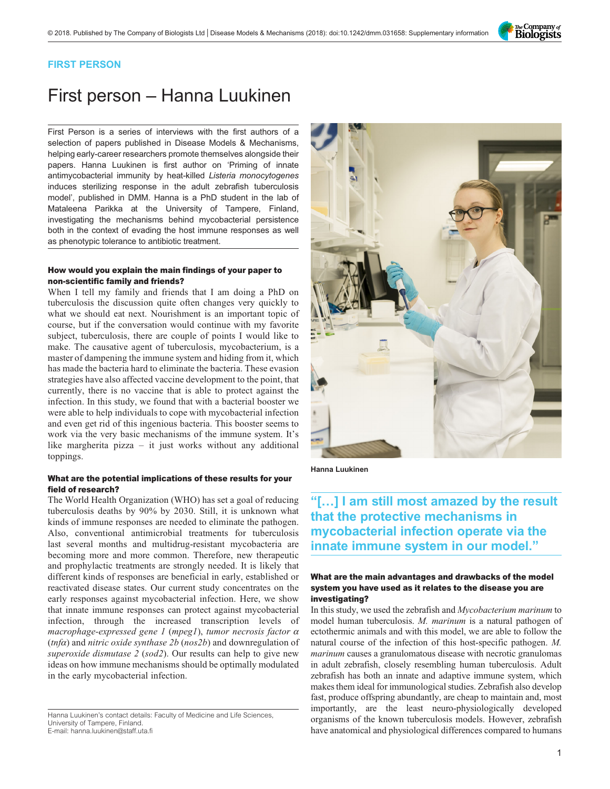

### FIRST PERSON

# First person – Hanna Luukinen

First Person is a series of interviews with the first authors of a selection of papers published in Disease Models & Mechanisms, helping early-career researchers promote themselves alongside their papers. Hanna Luukinen is first author on '[Priming of innate](#page-1-0) [antimycobacterial immunity by heat-killed](#page-1-0) Listeria monocytogenes [induces sterilizing response in the adult zebrafish tuberculosis](#page-1-0) [model](#page-1-0)', published in DMM. Hanna is a PhD student in the lab of Mataleena Parikka at the University of Tampere, Finland, investigating the mechanisms behind mycobacterial persistence both in the context of evading the host immune responses as well as phenotypic tolerance to antibiotic treatment.

#### How would you explain the main findings of your paper to non-scientific family and friends?

When I tell my family and friends that I am doing a PhD on tuberculosis the discussion quite often changes very quickly to what we should eat next. Nourishment is an important topic of course, but if the conversation would continue with my favorite subject, tuberculosis, there are couple of points I would like to make. The causative agent of tuberculosis, mycobacterium, is a master of dampening the immune system and hiding from it, which has made the bacteria hard to eliminate the bacteria. These evasion strategies have also affected vaccine development to the point, that currently, there is no vaccine that is able to protect against the infection. In this study, we found that with a bacterial booster we were able to help individuals to cope with mycobacterial infection and even get rid of this ingenious bacteria. This booster seems to work via the very basic mechanisms of the immune system. It's like margherita pizza – it just works without any additional toppings.

#### What are the potential implications of these results for your field of research?

The World Health Organization (WHO) has set a goal of reducing tuberculosis deaths by 90% by 2030. Still, it is unknown what kinds of immune responses are needed to eliminate the pathogen. Also, conventional antimicrobial treatments for tuberculosis last several months and multidrug-resistant mycobacteria are becoming more and more common. Therefore, new therapeutic and prophylactic treatments are strongly needed. It is likely that different kinds of responses are beneficial in early, established or reactivated disease states. Our current study concentrates on the early responses against mycobacterial infection. Here, we show that innate immune responses can protect against mycobacterial infection, through the increased transcription levels of macrophage-expressed gene 1 (mpeg1), tumor necrosis factor α  $(tnfa)$  and *nitric oxide synthase 2b* ( $nos2b$ ) and downregulation of superoxide dismutase 2 (sod2). Our results can help to give new ideas on how immune mechanisms should be optimally modulated in the early mycobacterial infection.



Hanna Luukinen

## "[…] I am still most amazed by the result that the protective mechanisms in mycobacterial infection operate via the innate immune system in our model."

#### What are the main advantages and drawbacks of the model system you have used as it relates to the disease you are investigating?

In this study, we used the zebrafish and Mycobacterium marinum to model human tuberculosis. M. marinum is a natural pathogen of ectothermic animals and with this model, we are able to follow the natural course of the infection of this host-specific pathogen. M. marinum causes a granulomatous disease with necrotic granulomas in adult zebrafish, closely resembling human tuberculosis. Adult zebrafish has both an innate and adaptive immune system, which makes them ideal for immunological studies. Zebrafish also develop fast, produce offspring abundantly, are cheap to maintain and, most importantly, are the least neuro-physiologically developed organisms of the known tuberculosis models. However, zebrafish have anatomical and physiological differences compared to humans

Hanna Luukinen's contact details: Faculty of Medicine and Life Sciences, University of Tampere, Finland. E-mail: [hanna.luukinen@staff.uta.fi](mailto:hanna.luukinen@staff.uta.fi)